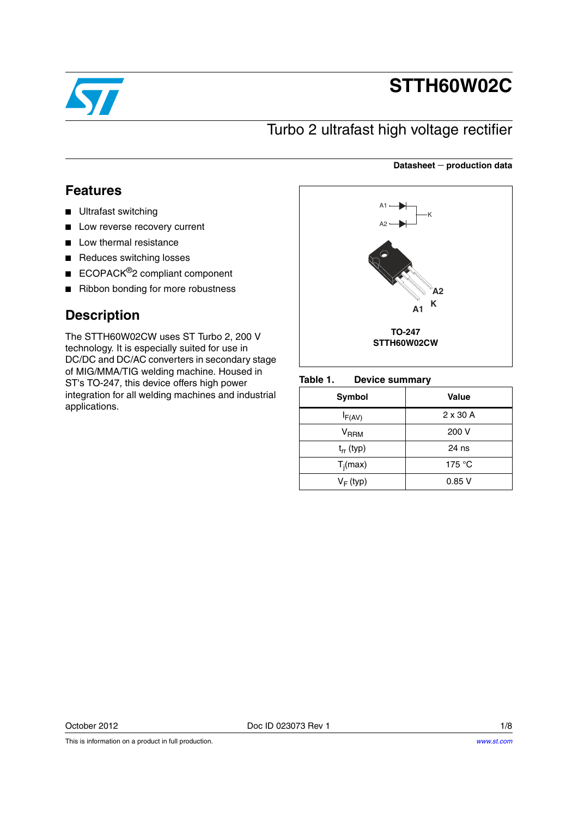

# **STTH60W02C**

### Turbo 2 ultrafast high voltage rectifier

### **Datasheet production data**

### **Features**

- Ultrafast switching
- Low reverse recovery current
- Low thermal resistance
- Reduces switching losses
- ECOPACK<sup>®</sup>2 compliant component
- Ribbon bonding for more robustness

### **Description**

The STTH60W02CW uses ST Turbo 2, 200 V technology. It is especially suited for use in DC/DC and DC/AC converters in secondary stage of MIG/MMA/TIG welding machine. Housed in ST's TO-247, this device offers high power integration for all welding machines and industrial applications.



#### Table 1. **Device summary**

| Symbol              | Value           |
|---------------------|-----------------|
| $I_{F(AV)}$         | $2 \times 30$ A |
| $\rm{V}_{\rm{RRM}}$ | 200 V           |
| $t_{rr}$ (typ)      | 24 ns           |
| $T_i(max)$          | 175 $\degree$ C |
| $V_F$ (typ)         | 0.85V           |

October 2012 **Doc ID 023073 Rev 1** 1/8

This is information on a product in full production.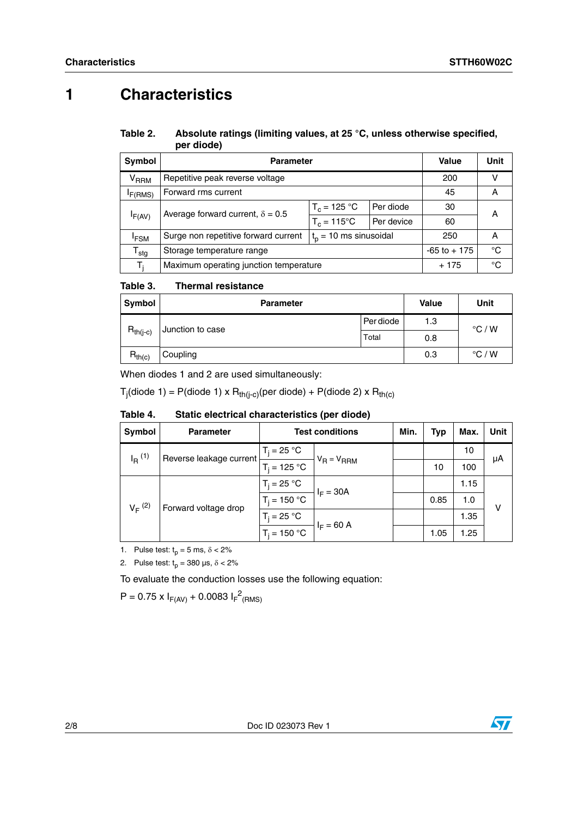## **1 Characteristics**

#### Table 2. Absolute ratings (limiting values, at 25 °C, unless otherwise specified, **per diode)**

| <b>Symbol</b>          | <b>Parameter</b>                                                 |                             | Value        | Unit |   |  |
|------------------------|------------------------------------------------------------------|-----------------------------|--------------|------|---|--|
| <b>V<sub>RRM</sub></b> | Repetitive peak reverse voltage                                  | 200                         |              |      |   |  |
| F(RMS)                 | Forward rms current                                              | 45                          | Α            |      |   |  |
|                        | Average forward current, $\delta = 0.5$                          | $T_c = 125 °C$<br>Per diode |              | 30   | А |  |
| IF(AV)                 |                                                                  | $T_c = 115^{\circ}$ C       | Per device   | 60   |   |  |
| <sup>I</sup> FSM       | Surge non repetitive forward current<br>$t_p = 10$ ms sinusoidal |                             |              | 250  | A |  |
| ${\tt T_{stg}}$        | Storage temperature range                                        | $-65$ to $+175$             | $^{\circ}$ C |      |   |  |
| T,                     | Maximum operating junction temperature                           | $+175$                      | °C           |      |   |  |

#### Table 3. **Thermal resistance**

| Symbol        | <b>Parameter</b> | <b>Value</b> | Unit |                 |
|---------------|------------------|--------------|------|-----------------|
|               | Junction to case | Per diode    | 1.3  | $\degree$ C / W |
| $R_{th(j-c)}$ |                  | Total        | 0.8  |                 |
| $R_{th(c)}$   | Coupling         |              | 0.3  | $\degree$ C / W |

When diodes 1 and 2 are used simultaneously:

T<sub>j</sub>(diode 1) = P(diode 1) x R<sub>th(j-c)</sub>(per diode) + P(diode 2) x R<sub>th(c)</sub>

| Symbol               | <b>Parameter</b>                    | <b>Test conditions</b> |                             | Min. | <b>Typ</b> | Max. | Unit |
|----------------------|-------------------------------------|------------------------|-----------------------------|------|------------|------|------|
| $I_R$ <sup>(1)</sup> | Reverse leakage current             | $T_i = 25 °C$          |                             |      |            | 10   |      |
|                      | $T_i = 125 °C$                      | $V_R = V_{RRM}$        |                             | 10   | 100        | μA   |      |
|                      | $V_F^{(2)}$<br>Forward voltage drop | $T_i = 25 °C$          | $I_F = 30A$<br>$I_F = 60 A$ |      |            | 1.15 |      |
|                      |                                     | $T_i = 150 °C$         |                             |      | 0.85       | 1.0  | v    |
|                      |                                     | $T_i = 25 °C$          |                             |      |            | 1.35 |      |
|                      |                                     | $T_i = 150 °C$         |                             |      | 1.05       | 1.25 |      |

#### Table 4. Static electrical characteristics (per diode)

1. Pulse test:  $t_p = 5$  ms,  $\delta < 2\%$ 

2. Pulse test:  $t_p = 380 \text{ }\mu\text{s}, \delta < 2\%$ 

To evaluate the conduction losses use the following equation:

 $P = 0.75 \times I_{F(AV)} + 0.0083 I_{F}^{2}$ <sub>(RMS)</sub>

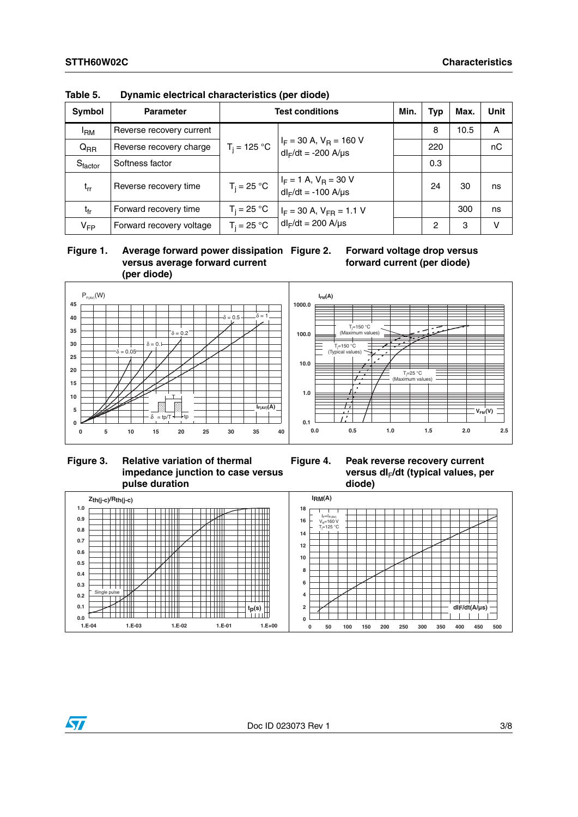| <b>Symbol</b>              | <b>Parameter</b>         | <b>Test conditions</b> |                                                          |  | <b>Typ</b> | Max. | <b>Unit</b> |
|----------------------------|--------------------------|------------------------|----------------------------------------------------------|--|------------|------|-------------|
| <sup>I</sup> RM            | Reverse recovery current |                        |                                                          |  | 8          | 10.5 | A           |
| $Q_{RR}$                   | Reverse recovery charge  | $T_i = 125 °C$         | $I_F$ = 30 A, $V_R$ = 160 V<br>$dl_F/dt = -200$ A/µs     |  | 220        |      | nC          |
| Sfactor                    | Softness factor          |                        |                                                          |  | 0.3        |      |             |
| $\mathfrak{t}_{\text{rr}}$ | Reverse recovery time    | $T_i = 25 °C$          | $I_F = 1$ A, $V_R = 30$ V<br>$dl_F/dt = -100$ A/ $\mu s$ |  | 24         | 30   | ns          |
| t <sub>fr</sub>            | Forward recovery time    | $T_i = 25 °C$          | $I_F = 30$ A, $V_{FR} = 1.1$ V                           |  |            | 300  | ns          |
| $V_{FP}$                   | Forward recovery voltage | $T_i = 25 °C$          | $dl_F/dt = 200$ A/ $\mu s$                               |  | 2          | з    | v           |

**Table 5. Dynamic electrical characteristics (per diode)**

 **Figure 1. Average forward power dissipation versus average forward current (per diode)**





**Figure 3. Relative variation of thermal impedance junction to case versus pulse duration**



**Figure 4. Peak reverse recovery current**  versus dl<sub>F</sub>/dt (typical values, per

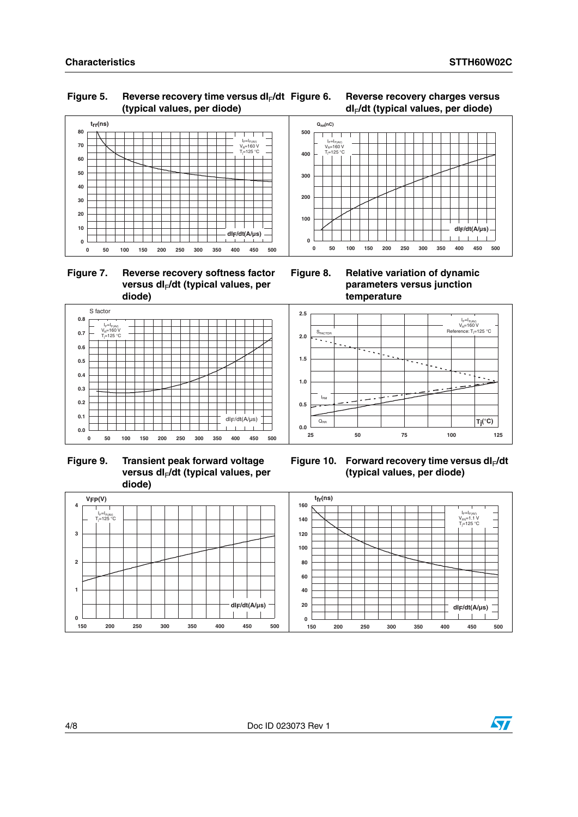l<sub>F</sub>=I<sub>F(AV)</sub><br>V<sub>R</sub>=160 V Reference: T<sub>i</sub>=125 °C

### Figure 5. Reverse recovery time versus dl<sub>F</sub>/dt **(typical values, per diode)**

### **Figure 6. Reverse recovery charges versus dI**F**/dt (typical values, per diode)**



 **Figure 7. Reverse recovery softness factor**  versus dl<sub>F</sub>/dt (typical values, per **diode)**



**QRR(nC)**

I<sub>F</sub>=I<sub>F(AV)</sub><br>V<sub>R</sub>=160 V<br>T<sub>i</sub>=125 °C

T

**200**

**300**

**400**

**500**

**parameters versus junction temperature**



 **Figure 9. Transient peak forward voltage**  versus dl<sub>F</sub>/dt (typical values, per **diode)**



Figure 10. Forward recovery time versus dl<sub>F</sub>/dt **(typical values, per diode)**



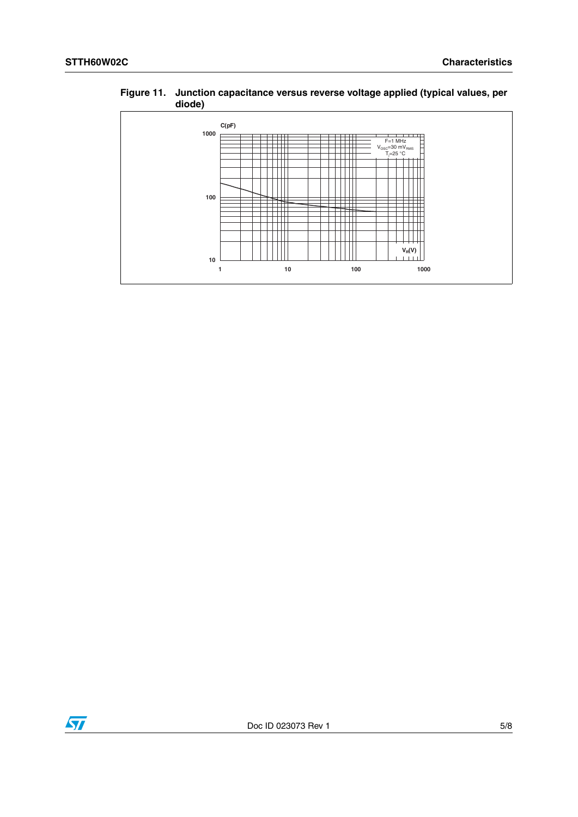**Figure 11. Junction capacitance versus reverse voltage applied (typical values, per diode)**



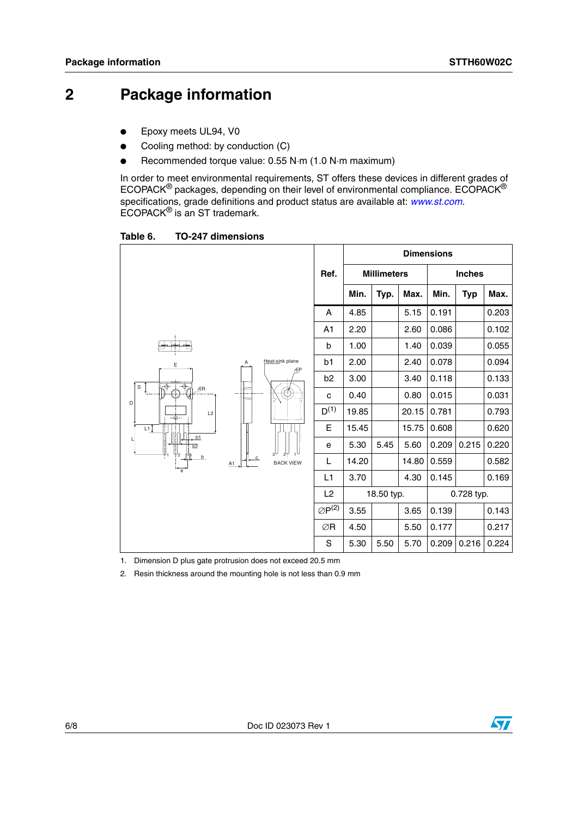### **2 Package information**

- Epoxy meets UL94, V0
- Cooling method: by conduction (C)
- Recommended torque value: 0.55 N·m (1.0 N·m maximum)

In order to meet environmental requirements, ST offers these devices in different grades of ECOPACK® packages, depending on their level of environmental compliance. ECOPACK® specifications, grade definitions and product status are available at: *[www.st.com](http://www.st.com).* ECOPACK® is an ST trademark.

Table 6. **Table 6. TO-247 dimensions**

|                                                                                                                        |                    |                            |                       | <b>Dimensions</b> |            |       |                    |            |       |               |  |
|------------------------------------------------------------------------------------------------------------------------|--------------------|----------------------------|-----------------------|-------------------|------------|-------|--------------------|------------|-------|---------------|--|
|                                                                                                                        |                    |                            |                       |                   | Ref.       |       | <b>Millimeters</b> |            |       | <b>Inches</b> |  |
|                                                                                                                        |                    |                            |                       | Min.              | Typ.       | Max.  | Min.               | <b>Typ</b> | Max.  |               |  |
| . and a<br>E<br>$\overline{\overline{\Phi}}_{\overline{\rho}}$<br>$\overline{\diamond}$<br>S<br>ÆR<br>D<br>L2<br>--⊕-- |                    | A                          | 4.85                  |                   | 5.15       | 0.191 |                    | 0.203      |       |               |  |
|                                                                                                                        |                    | A1                         | 2.20                  |                   | 2.60       | 0.086 |                    | 0.102      |       |               |  |
|                                                                                                                        |                    | Heat-sink plane<br>ÆP      | b                     | 1.00              |            | 1.40  | 0.039              |            | 0.055 |               |  |
|                                                                                                                        |                    |                            | b1                    | 2.00              |            | 2.40  | 0.078              |            | 0.094 |               |  |
|                                                                                                                        |                    | b <sub>2</sub>             | 3.00                  |                   | 3.40       | 0.118 |                    | 0.133      |       |               |  |
|                                                                                                                        |                    | $-\bigoplus_{i=1}^n$<br>Ą) | с                     | 0.40              |            | 0.80  | 0.015              |            | 0.031 |               |  |
|                                                                                                                        |                    | $D^{(1)}$                  | 19.85                 |                   | 20.15      | 0.781 |                    | 0.793      |       |               |  |
| Шĵ                                                                                                                     |                    | Е                          | 15.45                 |                   | 15.75      | 0.608 |                    | 0.620      |       |               |  |
| b1<br>$\overline{b2}$<br>-2<br>b                                                                                       |                    |                            | е                     | 5.30              | 5.45       | 5.60  | 0.209              | 0.215      | 0.220 |               |  |
|                                                                                                                        | $\mathbf{c}$<br>A1 | <b>BACK VIEW</b>           | L                     | 14.20             |            | 14.80 | 0.559              |            | 0.582 |               |  |
|                                                                                                                        |                    |                            | L1                    | 3.70              |            | 4.30  | 0.145              |            | 0.169 |               |  |
|                                                                                                                        |                    |                            | L2                    |                   | 18.50 typ. |       |                    | 0.728 typ. |       |               |  |
|                                                                                                                        |                    |                            | $\varnothing P^{(2)}$ | 3.55              |            | 3.65  | 0.139              |            | 0.143 |               |  |
|                                                                                                                        |                    |                            | ∅R                    | 4.50              |            | 5.50  | 0.177              |            | 0.217 |               |  |
|                                                                                                                        |                    |                            | S                     | 5.30              | 5.50       | 5.70  | 0.209              | 0.216      | 0.224 |               |  |

1. Dimension D plus gate protrusion does not exceed 20.5 mm

2. Resin thickness around the mounting hole is not less than 0.9 mm

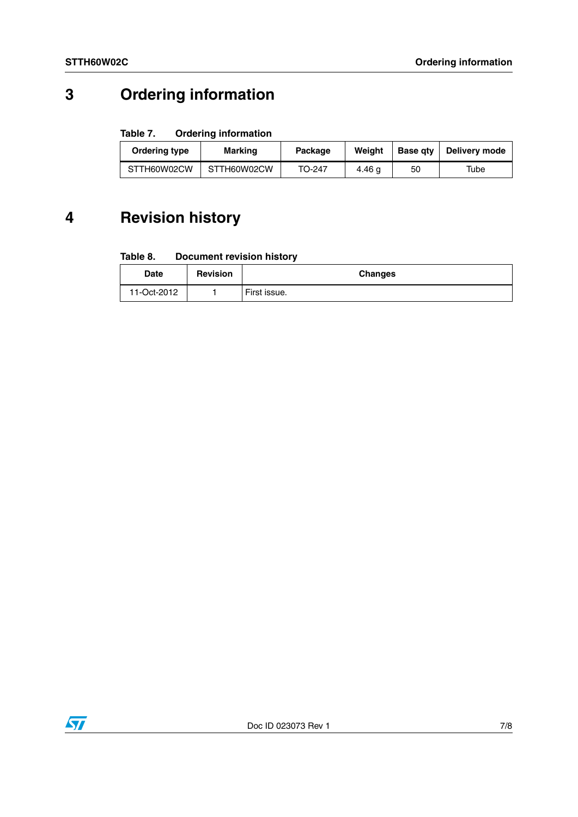## **3 Ordering information**

#### Table 7. **Ordering information**

| Ordering type | Marking     | Package | Weiaht | <b>Base gtv</b> | Delivery mode |
|---------------|-------------|---------|--------|-----------------|---------------|
| STTH60W02CW   | STTH60W02CW | TO-247  | 4.46 g | 50              | Tube          |

## **4 Revision history**

#### Table 8. **Document revision history**

| Date        | <b>Revision</b> | <b>Changes</b> |
|-------------|-----------------|----------------|
| 11-Oct-2012 |                 | First issue.   |